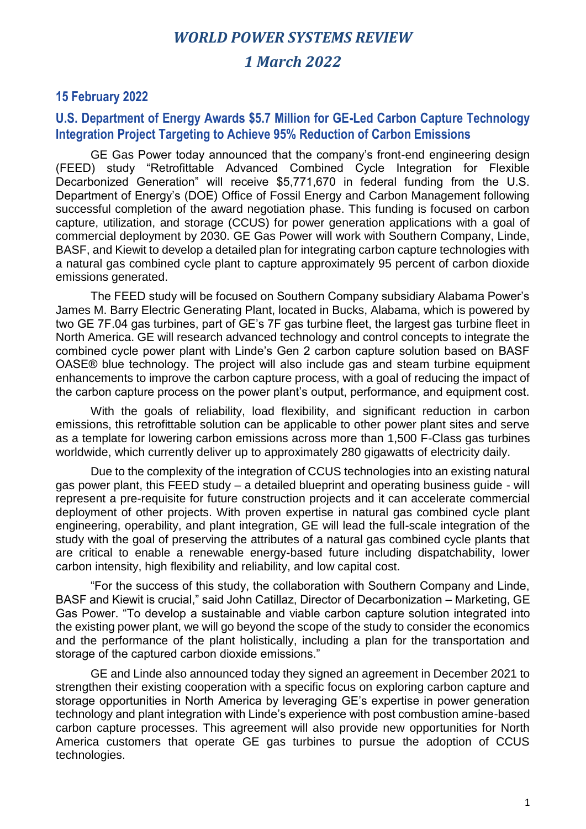## *1 March 2022*

### **15 February 2022**

### **U.S. Department of Energy Awards \$5.7 Million for GE-Led Carbon Capture Technology Integration Project Targeting to Achieve 95% Reduction of Carbon Emissions**

GE Gas Power today announced that the company's front-end engineering design (FEED) study "Retrofittable Advanced Combined Cycle Integration for Flexible Decarbonized Generation" will receive \$5,771,670 in federal funding from the U.S. Department of Energy's (DOE) Office of Fossil Energy and Carbon Management following successful completion of the award negotiation phase. This funding is focused on carbon capture, utilization, and storage (CCUS) for power generation applications with a goal of commercial deployment by 2030. GE Gas Power will work with Southern Company, Linde, BASF, and Kiewit to develop a detailed plan for integrating carbon capture technologies with a natural gas combined cycle plant to capture approximately 95 percent of carbon dioxide emissions generated.

The FEED study will be focused on Southern Company subsidiary Alabama Power's James M. Barry Electric Generating Plant, located in Bucks, Alabama, which is powered by two GE 7F.04 gas turbines, part of GE's 7F gas turbine fleet, the largest gas turbine fleet in North America. GE will research advanced technology and control concepts to integrate the combined cycle power plant with Linde's Gen 2 carbon capture solution based on BASF OASE® blue technology. The project will also include gas and steam turbine equipment enhancements to improve the carbon capture process, with a goal of reducing the impact of the carbon capture process on the power plant's output, performance, and equipment cost.

With the goals of reliability, load flexibility, and significant reduction in carbon emissions, this retrofittable solution can be applicable to other power plant sites and serve as a template for lowering carbon emissions across more than 1,500 F-Class gas turbines worldwide, which currently deliver up to approximately 280 gigawatts of electricity daily.

Due to the complexity of the integration of CCUS technologies into an existing natural gas power plant, this FEED study – a detailed blueprint and operating business guide - will represent a pre-requisite for future construction projects and it can accelerate commercial deployment of other projects. With proven expertise in natural gas combined cycle plant engineering, operability, and plant integration, GE will lead the full-scale integration of the study with the goal of preserving the attributes of a natural gas combined cycle plants that are critical to enable a renewable energy-based future including dispatchability, lower carbon intensity, high flexibility and reliability, and low capital cost.

"For the success of this study, the collaboration with Southern Company and Linde, BASF and Kiewit is crucial," said John Catillaz, Director of Decarbonization – Marketing, GE Gas Power. "To develop a sustainable and viable carbon capture solution integrated into the existing power plant, we will go beyond the scope of the study to consider the economics and the performance of the plant holistically, including a plan for the transportation and storage of the captured carbon dioxide emissions."

GE and Linde also announced today they signed an agreement in December 2021 to strengthen their existing cooperation with a specific focus on exploring carbon capture and storage opportunities in North America by leveraging GE's expertise in power generation technology and plant integration with Linde's experience with post combustion amine-based carbon capture processes. This agreement will also provide new opportunities for North America customers that operate GE gas turbines to pursue the adoption of CCUS technologies.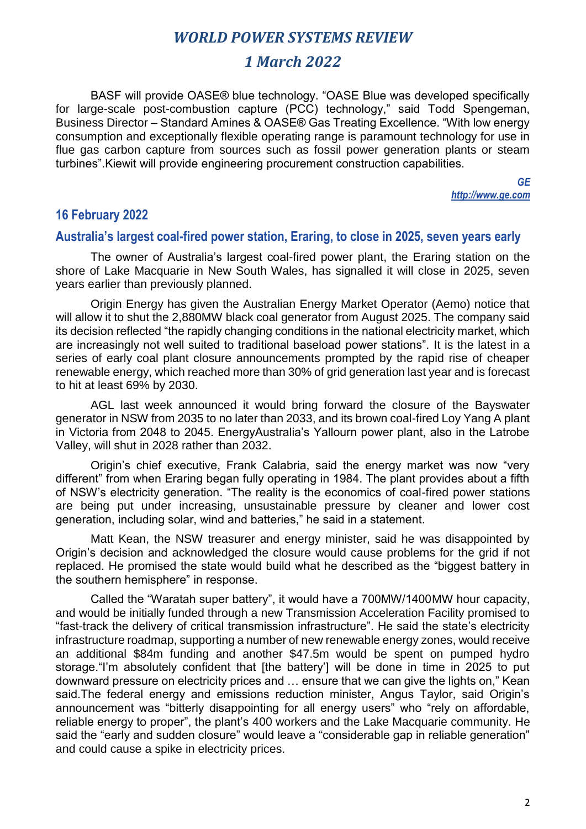## *1 March 2022*

BASF will provide OASE® blue technology. "OASE Blue was developed specifically for large-scale post-combustion capture (PCC) technology," said Todd Spengeman, Business Director – Standard Amines & OASE® Gas Treating Excellence. "With low energy consumption and exceptionally flexible operating range is paramount technology for use in flue gas carbon capture from sources such as fossil power generation plants or steam turbines".Kiewit will provide engineering procurement construction capabilities.

> *GE http://www.ge.com*

### **16 February 2022**

### **Australia's largest coal-fired power station, Eraring, to close in 2025, seven years early**

The owner of Australia's largest coal-fired power plant, the Eraring station on the shore of Lake Macquarie in New South Wales, has signalled it will close in 2025, seven years earlier than previously planned.

Origin Energy has given the Australian Energy Market Operator (Aemo) notice that will allow it to shut the 2,880MW black coal generator from August 2025. The company said its decision reflected "the rapidly changing conditions in the national electricity market, which are increasingly not well suited to traditional baseload power stations". It is the latest in a series of early coal plant closure announcements prompted by the rapid rise of cheaper renewable energy, which reached more than 30% of grid generation last year and is forecast to hit at least 69% by 2030.

AGL last week announced it would bring forward the closure of the Bayswater generator in NSW from 2035 to no later than 2033, and its brown coal-fired Loy Yang A plant in Victoria from 2048 to 2045. EnergyAustralia's Yallourn power plant, also in the Latrobe Valley, will shut in 2028 rather than 2032.

Origin's chief executive, Frank Calabria, said the energy market was now "very different" from when Eraring began fully operating in 1984. The plant provides about a fifth of NSW's electricity generation. "The reality is the economics of coal-fired power stations are being put under increasing, unsustainable pressure by cleaner and lower cost generation, including solar, wind and batteries," he said in a statement.

Matt Kean, the NSW treasurer and energy minister, said he was disappointed by Origin's decision and acknowledged the closure would cause problems for the grid if not replaced. He promised the state would build what he described as the "biggest battery in the southern hemisphere" in response.

Called the "Waratah super battery", it would have a 700MW/1400MW hour capacity, and would be initially funded through a new Transmission Acceleration Facility promised to "fast-track the delivery of critical transmission infrastructure". He said the state's electricity infrastructure roadmap, supporting a number of new renewable energy zones, would receive an additional \$84m funding and another \$47.5m would be spent on pumped hydro storage. "I'm absolutely confident that [the battery'] will be done in time in 2025 to put downward pressure on electricity prices and … ensure that we can give the lights on," Kean said.The federal energy and emissions reduction minister, Angus Taylor, said Origin's announcement was "bitterly disappointing for all energy users" who "rely on affordable, reliable energy to proper", the plant's 400 workers and the Lake Macquarie community. He said the "early and sudden closure" would leave a "considerable gap in reliable generation" and could cause a spike in electricity prices.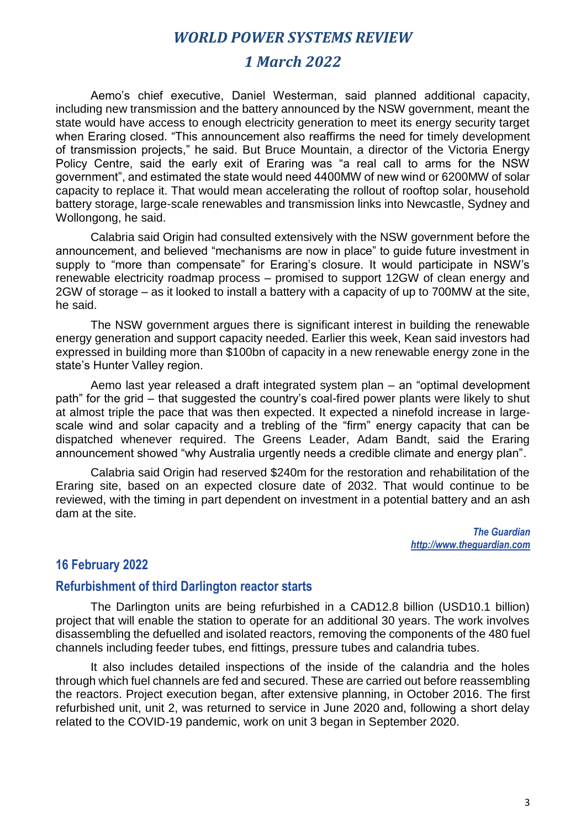## *1 March 2022*

Aemo's chief executive, Daniel Westerman, said planned additional capacity, including new transmission and the battery announced by the NSW government, meant the state would have access to enough electricity generation to meet its energy security target when Eraring closed. "This announcement also reaffirms the need for timely development of transmission projects," he said. But Bruce Mountain, a director of the Victoria Energy Policy Centre, said the early exit of Eraring was "a real call to arms for the NSW government", and estimated the state would need 4400MW of new wind or 6200MW of solar capacity to replace it. That would mean accelerating the rollout of rooftop solar, household battery storage, large-scale renewables and transmission links into Newcastle, Sydney and Wollongong, he said.

Calabria said Origin had consulted extensively with the NSW government before the announcement, and believed "mechanisms are now in place" to guide future investment in supply to "more than compensate" for Eraring's closure. It would participate in NSW's renewable electricity roadmap process – promised to support 12GW of clean energy and 2GW of storage – as it looked to install a battery with a capacity of up to 700MW at the site, he said.

The NSW government argues there is significant interest in building the renewable energy generation and support capacity needed. Earlier this week, Kean said investors had expressed in building more than \$100bn of capacity in a new renewable energy zone in the state's Hunter Valley region.

Aemo last year released a draft integrated system plan – an "optimal development path" for the grid – that suggested the country's coal-fired power plants were likely to shut at almost triple the pace that was then expected. It expected a ninefold increase in largescale wind and solar capacity and a trebling of the "firm" energy capacity that can be dispatched whenever required. The Greens Leader, Adam Bandt, said the Eraring announcement showed "why Australia urgently needs a credible climate and energy plan".

Calabria said Origin had reserved \$240m for the restoration and rehabilitation of the Eraring site, based on an expected closure date of 2032. That would continue to be reviewed, with the timing in part dependent on investment in a potential battery and an ash dam at the site.

> *The Guardian http://www.theguardian.com*

### **16 February 2022**

### **Refurbishment of third Darlington reactor starts**

The Darlington units are being refurbished in a CAD12.8 billion (USD10.1 billion) project that will enable the station to operate for an additional 30 years. The work involves disassembling the defuelled and isolated reactors, removing the components of the 480 fuel channels including feeder tubes, end fittings, pressure tubes and calandria tubes.

It also includes detailed inspections of the inside of the calandria and the holes through which fuel channels are fed and secured. These are carried out before reassembling the reactors. Project execution began, after extensive planning, in October 2016. The first refurbished unit, unit 2, was returned to service in June 2020 and, following a short delay related to the COVID-19 pandemic, work on unit 3 began in September 2020.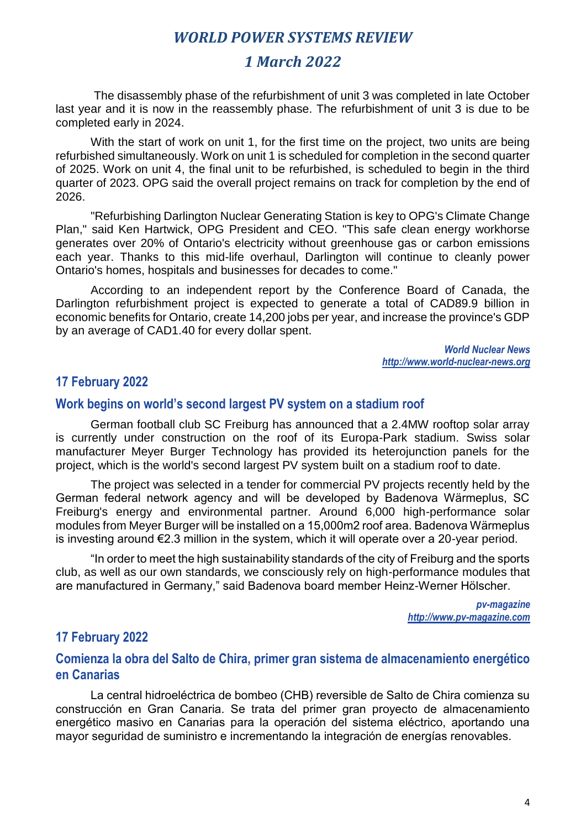## *1 March 2022*

The disassembly phase of the refurbishment of unit 3 was completed in late October last year and it is now in the reassembly phase. The refurbishment of unit 3 is due to be completed early in 2024.

With the start of work on unit 1, for the first time on the project, two units are being refurbished simultaneously. Work on unit 1 is scheduled for completion in the second quarter of 2025. Work on unit 4, the final unit to be refurbished, is scheduled to begin in the third quarter of 2023. OPG said the overall project remains on track for completion by the end of 2026.

"Refurbishing Darlington Nuclear Generating Station is key to OPG's Climate Change Plan," said Ken Hartwick, OPG President and CEO. "This safe clean energy workhorse generates over 20% of Ontario's electricity without greenhouse gas or carbon emissions each year. Thanks to this mid-life overhaul, Darlington will continue to cleanly power Ontario's homes, hospitals and businesses for decades to come."

According to an independent report by the Conference Board of Canada, the Darlington refurbishment project is expected to generate a total of CAD89.9 billion in economic benefits for Ontario, create 14,200 jobs per year, and increase the province's GDP by an average of CAD1.40 for every dollar spent.

> *World Nuclear News http://www.world-nuclear-news.org*

### **17 February 2022**

### **Work begins on world's second largest PV system on a stadium roof**

German football club SC Freiburg has announced that a 2.4MW rooftop solar array is currently under construction on the roof of its Europa-Park stadium. Swiss solar manufacturer Meyer Burger Technology has provided its heterojunction panels for the project, which is the world's second largest PV system built on a stadium roof to date.

The project was selected in a tender for commercial PV projects recently held by the German federal network agency and will be developed by Badenova Wärmeplus, SC Freiburg's energy and environmental partner. Around 6,000 high-performance solar modules from Meyer Burger will be installed on a 15,000m2 roof area. Badenova Wärmeplus is investing around €2.3 million in the system, which it will operate over a 20-year period.

"In order to meet the high sustainability standards of the city of Freiburg and the sports club, as well as our own standards, we consciously rely on high-performance modules that are manufactured in Germany," said Badenova board member Heinz-Werner Hölscher.

> *pv-magazine http://www.pv-magazine.com*

### **17 February 2022**

### **Comienza la obra del Salto de Chira, primer gran sistema de almacenamiento energético en Canarias**

La central hidroeléctrica de bombeo (CHB) reversible de Salto de Chira comienza su construcción en Gran Canaria. Se trata del primer gran proyecto de almacenamiento energético masivo en Canarias para la operación del sistema eléctrico, aportando una mayor seguridad de suministro e incrementando la integración de energías renovables.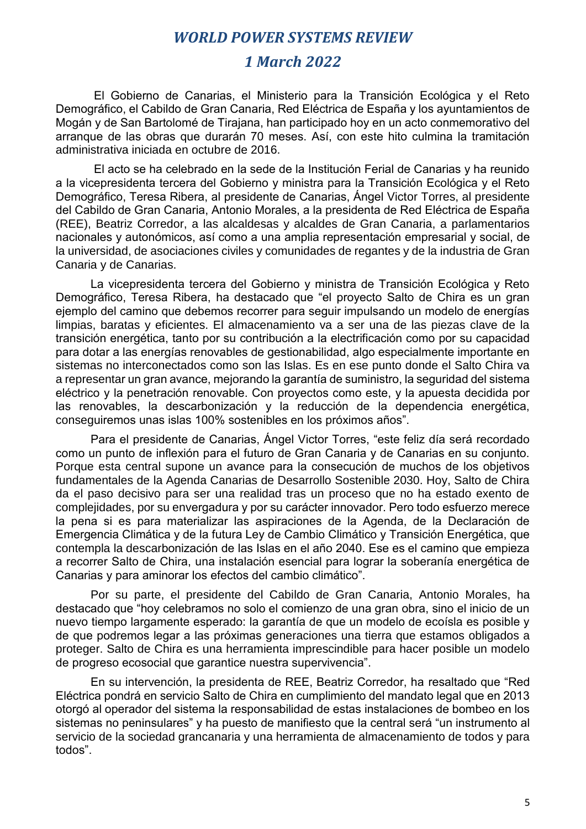## *1 March 2022*

El Gobierno de Canarias, el Ministerio para la Transición Ecológica y el Reto Demográfico, el Cabildo de Gran Canaria, Red Eléctrica de España y los ayuntamientos de Mogán y de San Bartolomé de Tirajana, han participado hoy en un acto conmemorativo del arranque de las obras que durarán 70 meses. Así, con este hito culmina la tramitación administrativa iniciada en octubre de 2016.

El acto se ha celebrado en la sede de la Institución Ferial de Canarias y ha reunido a la vicepresidenta tercera del Gobierno y ministra para la Transición Ecológica y el Reto Demográfico, Teresa Ribera, al presidente de Canarias, Ángel Victor Torres, al presidente del Cabildo de Gran Canaria, Antonio Morales, a la presidenta de Red Eléctrica de España (REE), Beatriz Corredor, a las alcaldesas y alcaldes de Gran Canaria, a parlamentarios nacionales y autonómicos, así como a una amplia representación empresarial y social, de la universidad, de asociaciones civiles y comunidades de regantes y de la industria de Gran Canaria y de Canarias.

La vicepresidenta tercera del Gobierno y ministra de Transición Ecológica y Reto Demográfico, Teresa Ribera, ha destacado que "el proyecto Salto de Chira es un gran ejemplo del camino que debemos recorrer para seguir impulsando un modelo de energías limpias, baratas y eficientes. El almacenamiento va a ser una de las piezas clave de la transición energética, tanto por su contribución a la electrificación como por su capacidad para dotar a las energías renovables de gestionabilidad, algo especialmente importante en sistemas no interconectados como son las Islas. Es en ese punto donde el Salto Chira va a representar un gran avance, mejorando la garantía de suministro, la seguridad del sistema eléctrico y la penetración renovable. Con proyectos como este, y la apuesta decidida por las renovables, la descarbonización y la reducción de la dependencia energética, conseguiremos unas islas 100% sostenibles en los próximos años".

Para el presidente de Canarias, Ángel Victor Torres, "este feliz día será recordado como un punto de inflexión para el futuro de Gran Canaria y de Canarias en su conjunto. Porque esta central supone un avance para la consecución de muchos de los objetivos fundamentales de la Agenda Canarias de Desarrollo Sostenible 2030. Hoy, Salto de Chira da el paso decisivo para ser una realidad tras un proceso que no ha estado exento de complejidades, por su envergadura y por su carácter innovador. Pero todo esfuerzo merece la pena si es para materializar las aspiraciones de la Agenda, de la Declaración de Emergencia Climática y de la futura Ley de Cambio Climático y Transición Energética, que contempla la descarbonización de las Islas en el año 2040. Ese es el camino que empieza a recorrer Salto de Chira, una instalación esencial para lograr la soberanía energética de Canarias y para aminorar los efectos del cambio climático".

Por su parte, el presidente del Cabildo de Gran Canaria, Antonio Morales, ha destacado que "hoy celebramos no solo el comienzo de una gran obra, sino el inicio de un nuevo tiempo largamente esperado: la garantía de que un modelo de ecoísla es posible y de que podremos legar a las próximas generaciones una tierra que estamos obligados a proteger. Salto de Chira es una herramienta imprescindible para hacer posible un modelo de progreso ecosocial que garantice nuestra supervivencia".

En su intervención, la presidenta de REE, Beatriz Corredor, ha resaltado que "Red Eléctrica pondrá en servicio Salto de Chira en cumplimiento del mandato legal que en 2013 otorgó al operador del sistema la responsabilidad de estas instalaciones de bombeo en los sistemas no peninsulares" y ha puesto de manifiesto que la central será "un instrumento al servicio de la sociedad grancanaria y una herramienta de almacenamiento de todos y para todos".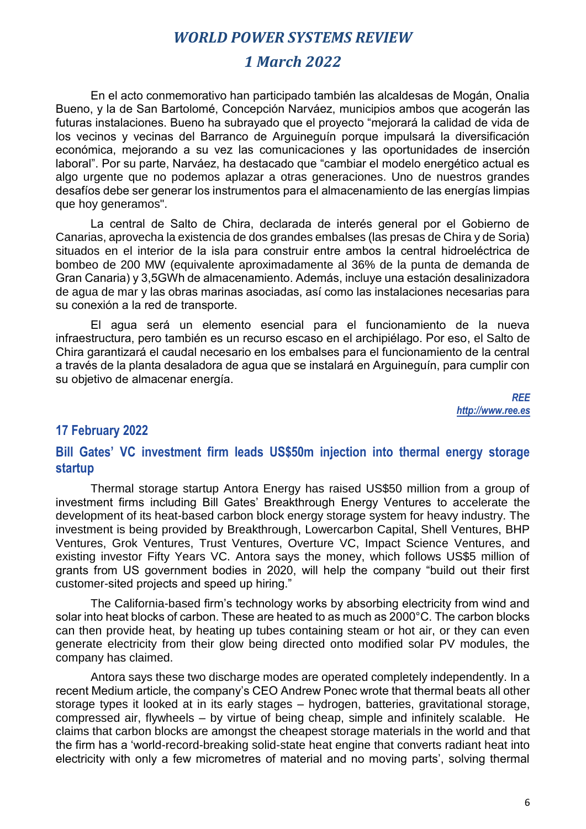## *1 March 2022*

En el acto conmemorativo han participado también las alcaldesas de Mogán, Onalia Bueno, y la de San Bartolomé, Concepción Narváez, municipios ambos que acogerán las futuras instalaciones. Bueno ha subrayado que el proyecto "mejorará la calidad de vida de los vecinos y vecinas del Barranco de Arguineguín porque impulsará la diversificación económica, mejorando a su vez las comunicaciones y las oportunidades de inserción laboral". Por su parte, Narváez, ha destacado que "cambiar el modelo energético actual es algo urgente que no podemos aplazar a otras generaciones. Uno de nuestros grandes desafíos debe ser generar los instrumentos para el almacenamiento de las energías limpias que hoy generamos".

La central de Salto de Chira, declarada de interés general por el Gobierno de Canarias, aprovecha la existencia de dos grandes embalses (las presas de Chira y de Soria) situados en el interior de la isla para construir entre ambos la central hidroeléctrica de bombeo de 200 MW (equivalente aproximadamente al 36% de la punta de demanda de Gran Canaria) y 3,5GWh de almacenamiento. Además, incluye una estación desalinizadora de agua de mar y las obras marinas asociadas, así como las instalaciones necesarias para su conexión a la red de transporte.

El agua será un elemento esencial para el funcionamiento de la nueva infraestructura, pero también es un recurso escaso en el archipiélago. Por eso, el Salto de Chira garantizará el caudal necesario en los embalses para el funcionamiento de la central a través de la planta desaladora de agua que se instalará en Arguineguín, para cumplir con su objetivo de almacenar energía.

> *REE http://www.ree.es*

### **17 February 2022**

### **Bill Gates' VC investment firm leads US\$50m injection into thermal energy storage startup**

Thermal storage startup Antora Energy has raised US\$50 million from a group of investment firms including Bill Gates' Breakthrough Energy Ventures to accelerate the development of its heat-based carbon block energy storage system for heavy industry. The investment is being provided by Breakthrough, Lowercarbon Capital, Shell Ventures, BHP Ventures, Grok Ventures, Trust Ventures, Overture VC, Impact Science Ventures, and existing investor Fifty Years VC. Antora says the money, which follows US\$5 million of grants from US government bodies in 2020, will help the company "build out their first customer-sited projects and speed up hiring."

The California-based firm's technology works by absorbing electricity from wind and solar into heat blocks of carbon. These are heated to as much as 2000°C. The carbon blocks can then provide heat, by heating up tubes containing steam or hot air, or they can even generate electricity from their glow being directed onto modified solar PV modules, the company has claimed.

Antora says these two discharge modes are operated completely independently. In a recent Medium article, the company's CEO Andrew Ponec wrote that thermal beats all other storage types it looked at in its early stages – hydrogen, batteries, gravitational storage, compressed air, flywheels – by virtue of being cheap, simple and infinitely scalable. He claims that carbon blocks are amongst the cheapest storage materials in the world and that the firm has a 'world-record-breaking solid-state heat engine that converts radiant heat into electricity with only a few micrometres of material and no moving parts', solving thermal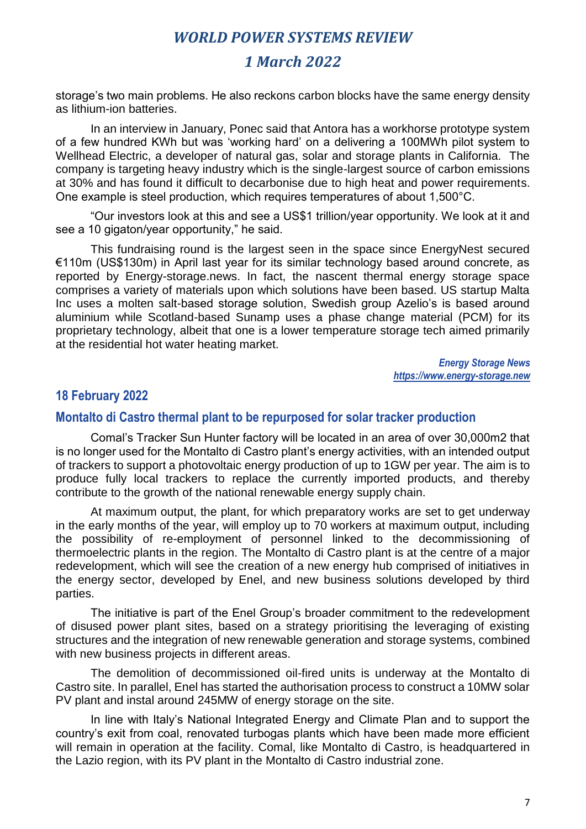## *1 March 2022*

storage's two main problems. He also reckons carbon blocks have the same energy density as lithium-ion batteries.

In an interview in January, Ponec said that Antora has a workhorse prototype system of a few hundred KWh but was 'working hard' on a delivering a 100MWh pilot system to Wellhead Electric, a developer of natural gas, solar and storage plants in California. The company is targeting heavy industry which is the single-largest source of carbon emissions at 30% and has found it difficult to decarbonise due to high heat and power requirements. One example is steel production, which requires temperatures of about 1,500°C.

"Our investors look at this and see a US\$1 trillion/year opportunity. We look at it and see a 10 gigaton/year opportunity," he said.

This fundraising round is the largest seen in the space since EnergyNest secured €110m (US\$130m) in April last year for its similar technology based around concrete, as reported by Energy-storage.news. In fact, the nascent thermal energy storage space comprises a variety of materials upon which solutions have been based. US startup Malta Inc uses a molten salt-based storage solution, Swedish group Azelio's is based around aluminium while Scotland-based Sunamp uses a phase change material (PCM) for its proprietary technology, albeit that one is a lower temperature storage tech aimed primarily at the residential hot water heating market.

> *Energy Storage News https://www.energy-storage.new*

### **18 February 2022**

### **Montalto di Castro thermal plant to be repurposed for solar tracker production**

Comal's Tracker Sun Hunter factory will be located in an area of over 30,000m2 that is no longer used for the Montalto di Castro plant's energy activities, with an intended output of trackers to support a photovoltaic energy production of up to 1GW per year. The aim is to produce fully local trackers to replace the currently imported products, and thereby contribute to the growth of the national renewable energy supply chain.

At maximum output, the plant, for which preparatory works are set to get underway in the early months of the year, will employ up to 70 workers at maximum output, including the possibility of re-employment of personnel linked to the decommissioning of thermoelectric plants in the region. The Montalto di Castro plant is at the centre of a major redevelopment, which will see the creation of a new energy hub comprised of initiatives in the energy sector, developed by Enel, and new business solutions developed by third parties.

The initiative is part of the Enel Group's broader commitment to the redevelopment of disused power plant sites, based on a strategy prioritising the leveraging of existing structures and the integration of new renewable generation and storage systems, combined with new business projects in different areas.

The demolition of decommissioned oil-fired units is underway at the Montalto di Castro site. In parallel, Enel has started the authorisation process to construct a 10MW solar PV plant and instal around 245MW of energy storage on the site.

In line with Italy's National Integrated Energy and Climate Plan and to support the country's exit from coal, renovated turbogas plants which have been made more efficient will remain in operation at the facility. Comal, like Montalto di Castro, is headquartered in the Lazio region, with its PV plant in the Montalto di Castro industrial zone.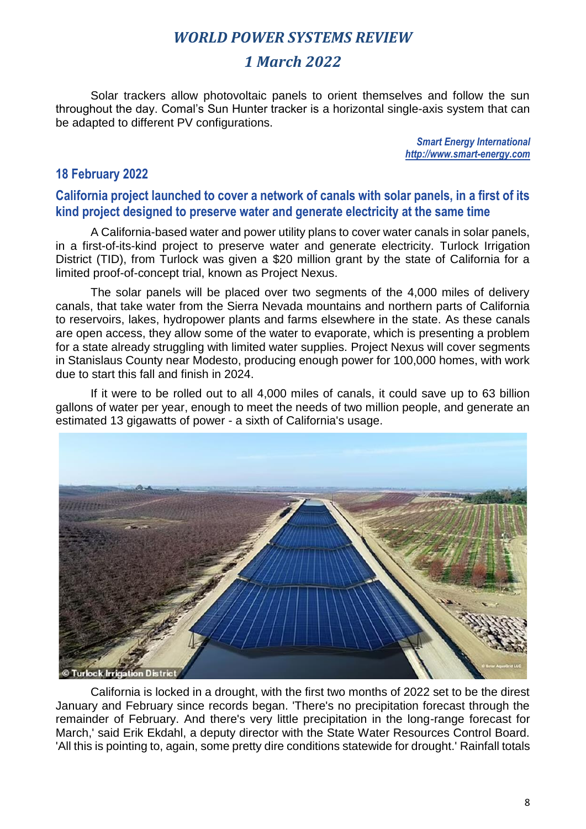## *1 March 2022*

Solar trackers allow photovoltaic panels to orient themselves and follow the sun throughout the day. Comal's Sun Hunter tracker is a horizontal single-axis system that can be adapted to different PV configurations.

> *Smart Energy International http://www.smart-energy.com*

### **18 February 2022**

**California project launched to cover a network of canals with solar panels, in a first of its kind project designed to preserve water and generate electricity at the same time**

A California-based water and power utility plans to cover water canals in solar panels, in a first-of-its-kind project to preserve water and generate electricity. Turlock Irrigation District (TID), from Turlock was given a \$20 million grant by the state of California for a limited proof-of-concept trial, known as Project Nexus.

The solar panels will be placed over two segments of the 4,000 miles of delivery canals, that take water from the Sierra Nevada mountains and northern parts of California to reservoirs, lakes, hydropower plants and farms elsewhere in the state. As these canals are open access, they allow some of the water to evaporate, which is presenting a problem for a state already struggling with limited water supplies. Project Nexus will cover segments in Stanislaus County near Modesto, producing enough power for 100,000 homes, with work due to start this fall and finish in 2024.

If it were to be rolled out to all 4,000 miles of canals, it could save up to 63 billion gallons of water per year, enough to meet the needs of two million people, and generate an estimated 13 gigawatts of power - a sixth of California's usage.



California is locked in a drought, with the first two months of 2022 set to be the direst January and February since records began. 'There's no precipitation forecast through the remainder of February. And there's very little precipitation in the long-range forecast for March,' said Erik Ekdahl, a deputy director with the State Water Resources Control Board. 'All this is pointing to, again, some pretty dire conditions statewide for drought.' Rainfall totals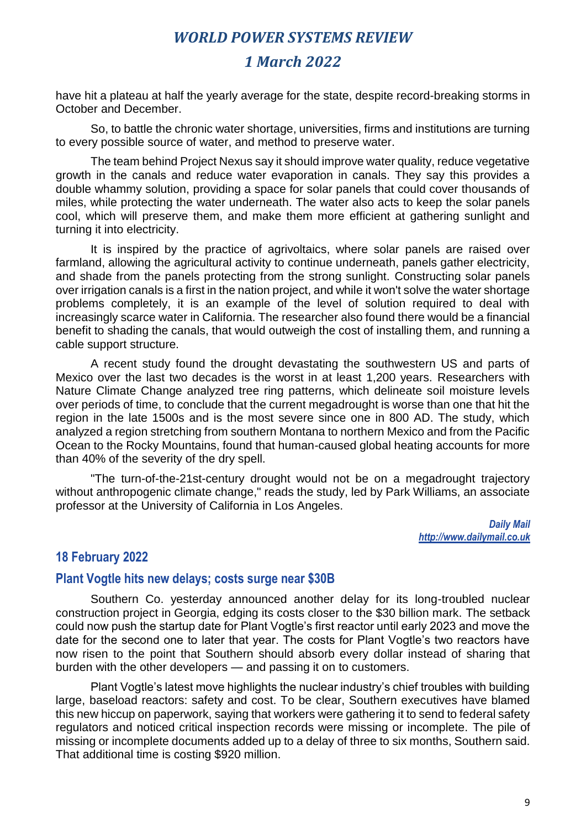## *1 March 2022*

have hit a plateau at half the yearly average for the state, despite record-breaking storms in October and December.

So, to battle the chronic water shortage, universities, firms and institutions are turning to every possible source of water, and method to preserve water.

The team behind Project Nexus say it should improve water quality, reduce vegetative growth in the canals and reduce water evaporation in canals. They say this provides a double whammy solution, providing a space for solar panels that could cover thousands of miles, while protecting the water underneath. The water also acts to keep the solar panels cool, which will preserve them, and make them more efficient at gathering sunlight and turning it into electricity.

It is inspired by the practice of agrivoltaics, where solar panels are raised over farmland, allowing the agricultural activity to continue underneath, panels gather electricity, and shade from the panels protecting from the strong sunlight. Constructing solar panels over irrigation canals is a first in the nation project, and while it won't solve the water shortage problems completely, it is an example of the level of solution required to deal with increasingly scarce water in California. The researcher also found there would be a financial benefit to shading the canals, that would outweigh the cost of installing them, and running a cable support structure.

A recent study found the drought devastating the southwestern US and parts of Mexico over the last two decades is the worst in at least 1,200 years. Researchers with Nature Climate Change analyzed tree ring patterns, which delineate soil moisture levels over periods of time, to conclude that the current megadrought is worse than one that hit the region in the late 1500s and is the most severe since one in 800 AD. The study, which analyzed a region stretching from southern Montana to northern Mexico and from the Pacific Ocean to the Rocky Mountains, found that human-caused global heating accounts for more than 40% of the severity of the dry spell.

"The turn-of-the-21st-century drought would not be on a megadrought trajectory without anthropogenic climate change," reads the study, led by Park Williams, an associate professor at the University of California in Los Angeles.

> *Daily Mail http://www.dailymail.co.uk*

### **18 February 2022**

### **Plant Vogtle hits new delays; costs surge near \$30B**

Southern Co. yesterday announced another delay for its long-troubled nuclear construction project in Georgia, edging its costs closer to the \$30 billion mark. The setback could now push the startup date for Plant Vogtle's first reactor until early 2023 and move the date for the second one to later that year. The costs for Plant Vogtle's two reactors have now risen to the point that Southern should absorb every dollar instead of sharing that burden with the other developers — and passing it on to customers.

Plant Vogtle's latest move highlights the nuclear industry's chief troubles with building large, baseload reactors: safety and cost. To be clear, Southern executives have blamed this new hiccup on paperwork, saying that workers were gathering it to send to federal safety regulators and noticed critical inspection records were missing or incomplete. The pile of missing or incomplete documents added up to a delay of three to six months, Southern said. That additional time is costing \$920 million.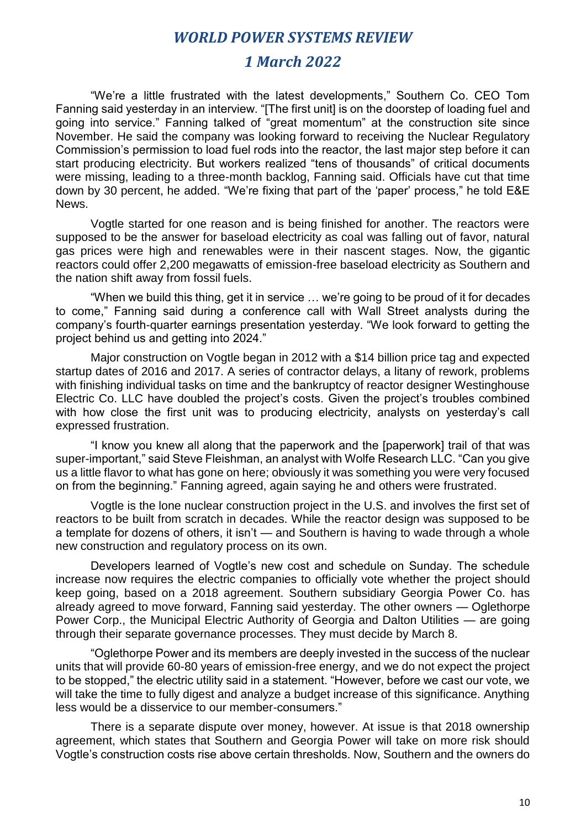## *1 March 2022*

"We're a little frustrated with the latest developments," Southern Co. CEO Tom Fanning said yesterday in an interview. "[The first unit] is on the doorstep of loading fuel and going into service." Fanning talked of "great momentum" at the construction site since November. He said the company was looking forward to receiving the Nuclear Regulatory Commission's permission to load fuel rods into the reactor, the last major step before it can start producing electricity. But workers realized "tens of thousands" of critical documents were missing, leading to a three-month backlog, Fanning said. Officials have cut that time down by 30 percent, he added. "We're fixing that part of the 'paper' process," he told E&E News.

Vogtle started for one reason and is being finished for another. The reactors were supposed to be the answer for baseload electricity as coal was falling out of favor, natural gas prices were high and renewables were in their nascent stages. Now, the gigantic reactors could offer 2,200 megawatts of emission-free baseload electricity as Southern and the nation shift away from fossil fuels.

"When we build this thing, get it in service … we're going to be proud of it for decades to come," Fanning said during a conference call with Wall Street analysts during the company's fourth-quarter earnings presentation yesterday. "We look forward to getting the project behind us and getting into 2024."

Major construction on Vogtle began in 2012 with a \$14 billion price tag and expected startup dates of 2016 and 2017. A series of contractor delays, a litany of rework, problems with finishing individual tasks on time and the bankruptcy of reactor designer Westinghouse Electric Co. LLC have doubled the project's costs. Given the project's troubles combined with how close the first unit was to producing electricity, analysts on yesterday's call expressed frustration.

"I know you knew all along that the paperwork and the [paperwork] trail of that was super-important," said Steve Fleishman, an analyst with Wolfe Research LLC. "Can you give us a little flavor to what has gone on here; obviously it was something you were very focused on from the beginning." Fanning agreed, again saying he and others were frustrated.

Vogtle is the lone nuclear construction project in the U.S. and involves the first set of reactors to be built from scratch in decades. While the reactor design was supposed to be a template for dozens of others, it isn't — and Southern is having to wade through a whole new construction and regulatory process on its own.

Developers learned of Vogtle's new cost and schedule on Sunday. The schedule increase now requires the electric companies to officially vote whether the project should keep going, based on a 2018 agreement. Southern subsidiary Georgia Power Co. has already agreed to move forward, Fanning said yesterday. The other owners — Oglethorpe Power Corp., the Municipal Electric Authority of Georgia and Dalton Utilities — are going through their separate governance processes. They must decide by March 8.

"Oglethorpe Power and its members are deeply invested in the success of the nuclear units that will provide 60-80 years of emission-free energy, and we do not expect the project to be stopped," the electric utility said in a statement. "However, before we cast our vote, we will take the time to fully digest and analyze a budget increase of this significance. Anything less would be a disservice to our member-consumers."

There is a separate dispute over money, however. At issue is that 2018 ownership agreement, which states that Southern and Georgia Power will take on more risk should Vogtle's construction costs rise above certain thresholds. Now, Southern and the owners do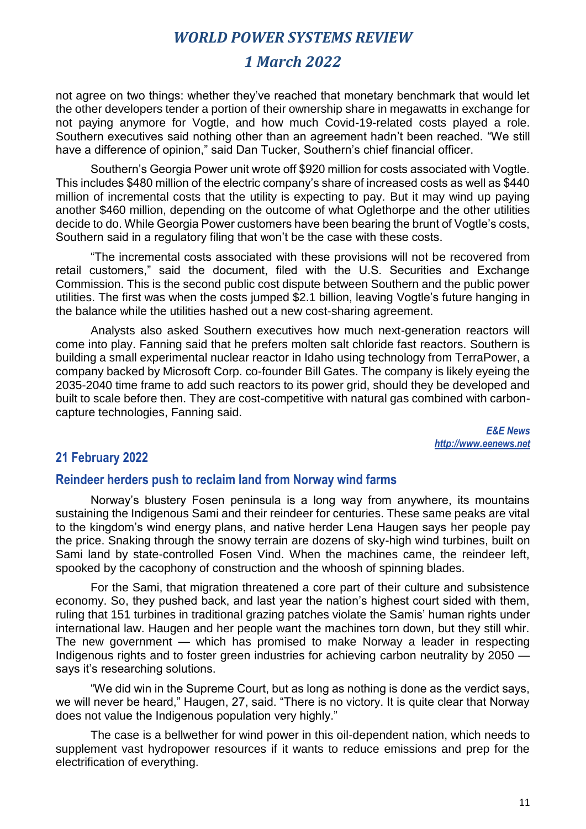## *1 March 2022*

not agree on two things: whether they've reached that monetary benchmark that would let the other developers tender a portion of their ownership share in megawatts in exchange for not paying anymore for Vogtle, and how much Covid-19-related costs played a role. Southern executives said nothing other than an agreement hadn't been reached. "We still have a difference of opinion," said Dan Tucker, Southern's chief financial officer.

Southern's Georgia Power unit wrote off \$920 million for costs associated with Vogtle. This includes \$480 million of the electric company's share of increased costs as well as \$440 million of incremental costs that the utility is expecting to pay. But it may wind up paying another \$460 million, depending on the outcome of what Oglethorpe and the other utilities decide to do. While Georgia Power customers have been bearing the brunt of Vogtle's costs, Southern said in a regulatory filing that won't be the case with these costs.

"The incremental costs associated with these provisions will not be recovered from retail customers," said the document, filed with the U.S. Securities and Exchange Commission. This is the second public cost dispute between Southern and the public power utilities. The first was when the costs jumped \$2.1 billion, leaving Vogtle's future hanging in the balance while the utilities hashed out a new cost-sharing agreement.

Analysts also asked Southern executives how much next-generation reactors will come into play. Fanning said that he prefers molten salt chloride fast reactors. Southern is building a small experimental nuclear reactor in Idaho using technology from TerraPower, a company backed by Microsoft Corp. co-founder Bill Gates. The company is likely eyeing the 2035-2040 time frame to add such reactors to its power grid, should they be developed and built to scale before then. They are cost-competitive with natural gas combined with carboncapture technologies, Fanning said.

> *E&E News http://www.eenews.net*

### **21 February 2022**

### **Reindeer herders push to reclaim land from Norway wind farms**

Norway's blustery Fosen peninsula is a long way from anywhere, its mountains sustaining the Indigenous Sami and their reindeer for centuries. These same peaks are vital to the kingdom's wind energy plans, and native herder Lena Haugen says her people pay the price. Snaking through the snowy terrain are dozens of sky-high wind turbines, built on Sami land by state-controlled Fosen Vind. When the machines came, the reindeer left, spooked by the cacophony of construction and the whoosh of spinning blades.

For the Sami, that migration threatened a core part of their culture and subsistence economy. So, they pushed back, and last year the nation's highest court sided with them, ruling that 151 turbines in traditional grazing patches violate the Samis' human rights under international law. Haugen and her people want the machines torn down, but they still whir. The new government — which has promised to make Norway a leader in respecting Indigenous rights and to foster green industries for achieving carbon neutrality by 2050 says it's researching solutions.

"We did win in the Supreme Court, but as long as nothing is done as the verdict says, we will never be heard," Haugen, 27, said. "There is no victory. It is quite clear that Norway does not value the Indigenous population very highly."

The case is a bellwether for wind power in this oil-dependent nation, which needs to supplement vast hydropower resources if it wants to reduce emissions and prep for the electrification of everything.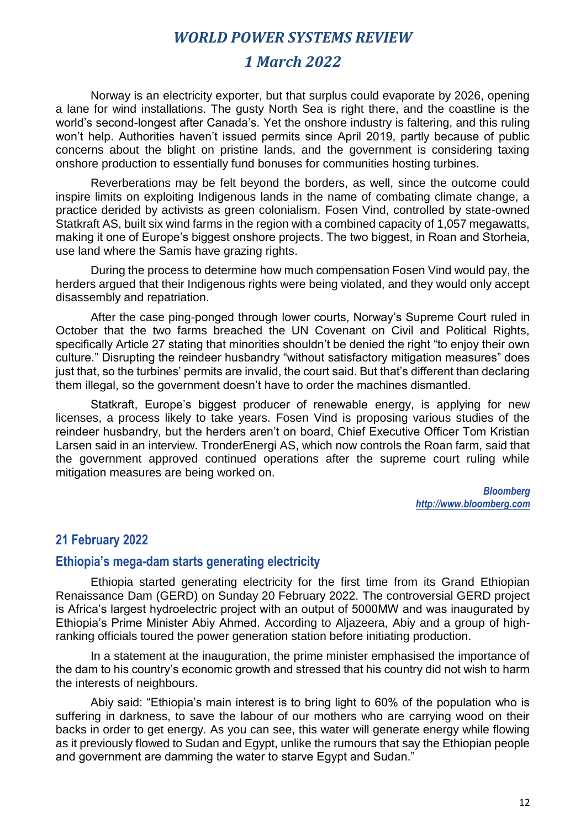## *1 March 2022*

Norway is an electricity exporter, but that surplus could evaporate by 2026, opening a lane for wind installations. The gusty North Sea is right there, and the coastline is the world's second-longest after Canada's. Yet the onshore industry is faltering, and this ruling won't help. Authorities haven't issued permits since April 2019, partly because of public concerns about the blight on pristine lands, and the government is considering taxing onshore production to essentially fund bonuses for communities hosting turbines.

Reverberations may be felt beyond the borders, as well, since the outcome could inspire limits on exploiting Indigenous lands in the name of combating climate change, a practice derided by activists as green colonialism. Fosen Vind, controlled by state-owned Statkraft AS, built six wind farms in the region with a combined capacity of 1,057 megawatts, making it one of Europe's biggest onshore projects. The two biggest, in Roan and Storheia, use land where the Samis have grazing rights.

During the process to determine how much compensation Fosen Vind would pay, the herders argued that their Indigenous rights were being violated, and they would only accept disassembly and repatriation.

After the case ping-ponged through lower courts, Norway's Supreme Court ruled in October that the two farms breached the UN Covenant on Civil and Political Rights, specifically Article 27 stating that minorities shouldn't be denied the right "to enjoy their own culture." Disrupting the reindeer husbandry "without satisfactory mitigation measures" does just that, so the turbines' permits are invalid, the court said. But that's different than declaring them illegal, so the government doesn't have to order the machines dismantled.

Statkraft, Europe's biggest producer of renewable energy, is applying for new licenses, a process likely to take years. Fosen Vind is proposing various studies of the reindeer husbandry, but the herders aren't on board, Chief Executive Officer Tom Kristian Larsen said in an interview. TronderEnergi AS, which now controls the Roan farm, said that the government approved continued operations after the supreme court ruling while mitigation measures are being worked on.

> *Bloomberg http://www.bloomberg.com*

### **21 February 2022**

### **Ethiopia's mega-dam starts generating electricity**

Ethiopia started generating electricity for the first time from its Grand Ethiopian Renaissance Dam (GERD) on Sunday 20 February 2022. The controversial GERD project is Africa's largest hydroelectric project with an output of 5000MW and was inaugurated by Ethiopia's Prime Minister Abiy Ahmed. According to Aljazeera, Abiy and a group of highranking officials toured the power generation station before initiating production.

In a statement at the inauguration, the prime minister emphasised the importance of the dam to his country's economic growth and stressed that his country did not wish to harm the interests of neighbours.

Abiy said: "Ethiopia's main interest is to bring light to 60% of the population who is suffering in darkness, to save the labour of our mothers who are carrying wood on their backs in order to get energy. As you can see, this water will generate energy while flowing as it previously flowed to Sudan and Egypt, unlike the rumours that say the Ethiopian people and government are damming the water to starve Egypt and Sudan."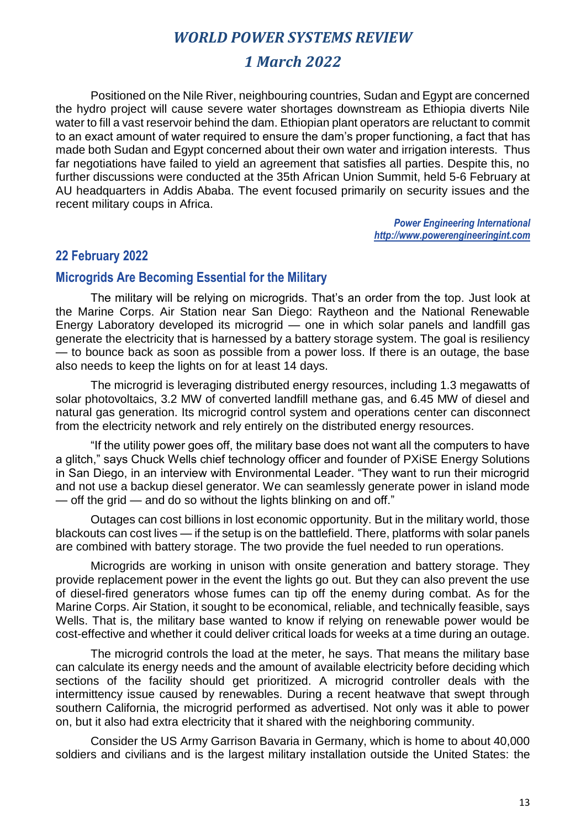## *1 March 2022*

Positioned on the Nile River, neighbouring countries, Sudan and Egypt are concerned the hydro project will cause severe water shortages downstream as Ethiopia diverts Nile water to fill a vast reservoir behind the dam. Ethiopian plant operators are reluctant to commit to an exact amount of water required to ensure the dam's proper functioning, a fact that has made both Sudan and Egypt concerned about their own water and irrigation interests. Thus far negotiations have failed to yield an agreement that satisfies all parties. Despite this, no further discussions were conducted at the 35th African Union Summit, held 5-6 February at AU headquarters in Addis Ababa. The event focused primarily on security issues and the recent military coups in Africa.

> *Power Engineering International http://www.powerengineeringint.com*

### **22 February 2022**

#### **Microgrids Are Becoming Essential for the Military**

The military will be relying on microgrids. That's an order from the top. Just look at the Marine Corps. Air Station near San Diego: Raytheon and the National Renewable Energy Laboratory developed its microgrid — one in which solar panels and landfill gas generate the electricity that is harnessed by a battery storage system. The goal is resiliency — to bounce back as soon as possible from a power loss. If there is an outage, the base also needs to keep the lights on for at least 14 days.

The microgrid is leveraging distributed energy resources, including 1.3 megawatts of solar photovoltaics, 3.2 MW of converted landfill methane gas, and 6.45 MW of diesel and natural gas generation. Its microgrid control system and operations center can disconnect from the electricity network and rely entirely on the distributed energy resources.

"If the utility power goes off, the military base does not want all the computers to have a glitch," says Chuck Wells chief technology officer and founder of PXiSE Energy Solutions in San Diego, in an interview with Environmental Leader. "They want to run their microgrid and not use a backup diesel generator. We can seamlessly generate power in island mode — off the grid — and do so without the lights blinking on and off."

Outages can cost billions in lost economic opportunity. But in the military world, those blackouts can cost lives — if the setup is on the battlefield. There, platforms with solar panels are combined with battery storage. The two provide the fuel needed to run operations.

Microgrids are working in unison with onsite generation and battery storage. They provide replacement power in the event the lights go out. But they can also prevent the use of diesel-fired generators whose fumes can tip off the enemy during combat. As for the Marine Corps. Air Station, it sought to be economical, reliable, and technically feasible, says Wells. That is, the military base wanted to know if relying on renewable power would be cost-effective and whether it could deliver critical loads for weeks at a time during an outage.

The microgrid controls the load at the meter, he says. That means the military base can calculate its energy needs and the amount of available electricity before deciding which sections of the facility should get prioritized. A microgrid controller deals with the intermittency issue caused by renewables. During a recent heatwave that swept through southern California, the microgrid performed as advertised. Not only was it able to power on, but it also had extra electricity that it shared with the neighboring community.

Consider the US Army Garrison Bavaria in Germany, which is home to about 40,000 soldiers and civilians and is the largest military installation outside the United States: the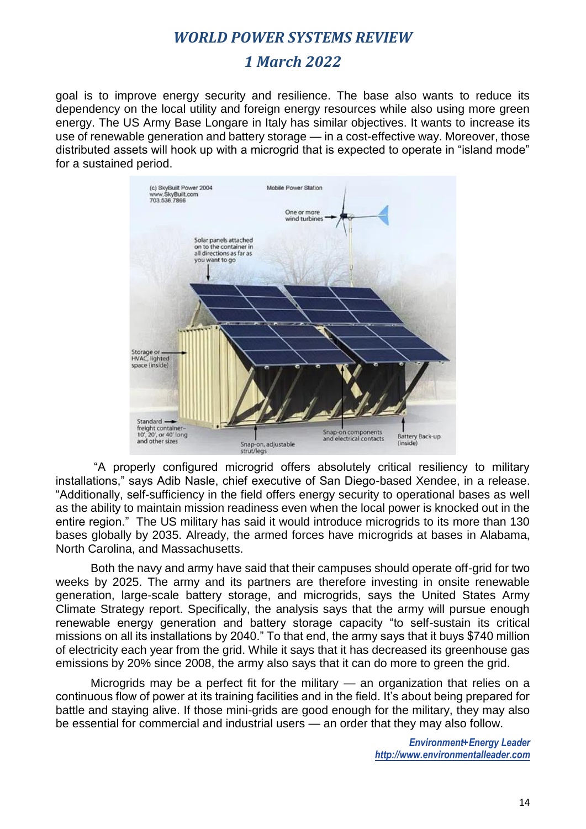## *1 March 2022*

goal is to improve energy security and resilience. The base also wants to reduce its dependency on the local utility and foreign energy resources while also using more green energy. The US Army Base Longare in Italy has similar objectives. It wants to increase its use of renewable generation and battery storage — in a cost-effective way. Moreover, those distributed assets will hook up with a microgrid that is expected to operate in "island mode" for a sustained period.



"A properly configured microgrid offers absolutely critical resiliency to military installations," says Adib Nasle, chief executive of San Diego-based Xendee, in a release. "Additionally, self-sufficiency in the field offers energy security to operational bases as well as the ability to maintain mission readiness even when the local power is knocked out in the entire region." The US military has said it would introduce microgrids to its more than 130 bases globally by 2035. Already, the armed forces have microgrids at bases in Alabama, North Carolina, and Massachusetts.

Both the navy and army have said that their campuses should operate off-grid for two weeks by 2025. The army and its partners are therefore investing in onsite renewable generation, large-scale battery storage, and microgrids, says the United States Army Climate Strategy report. Specifically, the analysis says that the army will pursue enough renewable energy generation and battery storage capacity "to self-sustain its critical missions on all its installations by 2040." To that end, the army says that it buys \$740 million of electricity each year from the grid. While it says that it has decreased its greenhouse gas emissions by 20% since 2008, the army also says that it can do more to green the grid.

Microgrids may be a perfect fit for the military — an organization that relies on a continuous flow of power at its training facilities and in the field. It's about being prepared for battle and staying alive. If those mini-grids are good enough for the military, they may also be essential for commercial and industrial users — an order that they may also follow.

> *Environment+Energy Leader http://www.environmentalleader.com*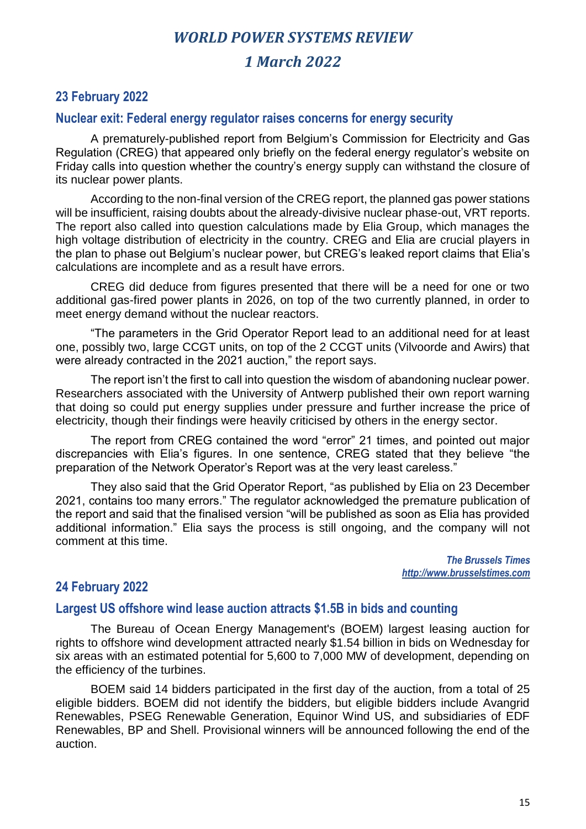## *WORLD POWER SYSTEMS REVIEW 1 March 2022*

## **23 February 2022**

### **Nuclear exit: Federal energy regulator raises concerns for energy security**

A prematurely-published report from Belgium's Commission for Electricity and Gas Regulation (CREG) that appeared only briefly on the federal energy regulator's website on Friday calls into question whether the country's energy supply can withstand the closure of its nuclear power plants.

According to the non-final version of the CREG report, the planned gas power stations will be insufficient, raising doubts about the already-divisive nuclear phase-out, VRT reports. The report also called into question calculations made by Elia Group, which manages the high voltage distribution of electricity in the country. CREG and Elia are crucial players in the plan to phase out Belgium's nuclear power, but CREG's leaked report claims that Elia's calculations are incomplete and as a result have errors.

CREG did deduce from figures presented that there will be a need for one or two additional gas-fired power plants in 2026, on top of the two currently planned, in order to meet energy demand without the nuclear reactors.

"The parameters in the Grid Operator Report lead to an additional need for at least one, possibly two, large CCGT units, on top of the 2 CCGT units (Vilvoorde and Awirs) that were already contracted in the 2021 auction," the report says.

The report isn't the first to call into question the wisdom of abandoning nuclear power. Researchers associated with the University of Antwerp published their own report warning that doing so could put energy supplies under pressure and further increase the price of electricity, though their findings were heavily criticised by others in the energy sector.

The report from CREG contained the word "error" 21 times, and pointed out major discrepancies with Elia's figures. In one sentence, CREG stated that they believe "the preparation of the Network Operator's Report was at the very least careless."

They also said that the Grid Operator Report, "as published by Elia on 23 December 2021, contains too many errors." The regulator acknowledged the premature publication of the report and said that the finalised version "will be published as soon as Elia has provided additional information." Elia says the process is still ongoing, and the company will not comment at this time.

> *The Brussels Times [http://www.brusselstimes.com](http://www.brusselstimes.com/)*

## **24 February 2022**

### **Largest US offshore wind lease auction attracts \$1.5B in bids and counting**

The Bureau of Ocean Energy Management's (BOEM) largest leasing auction for rights to offshore wind development attracted nearly \$1.54 billion in bids on Wednesday for six areas with an estimated potential for 5,600 to 7,000 MW of development, depending on the efficiency of the turbines.

BOEM said 14 bidders participated in the first day of the auction, from a total of 25 eligible bidders. BOEM did not identify the bidders, but eligible bidders include Avangrid Renewables, PSEG Renewable Generation, Equinor Wind US, and subsidiaries of EDF Renewables, BP and Shell. Provisional winners will be announced following the end of the auction.